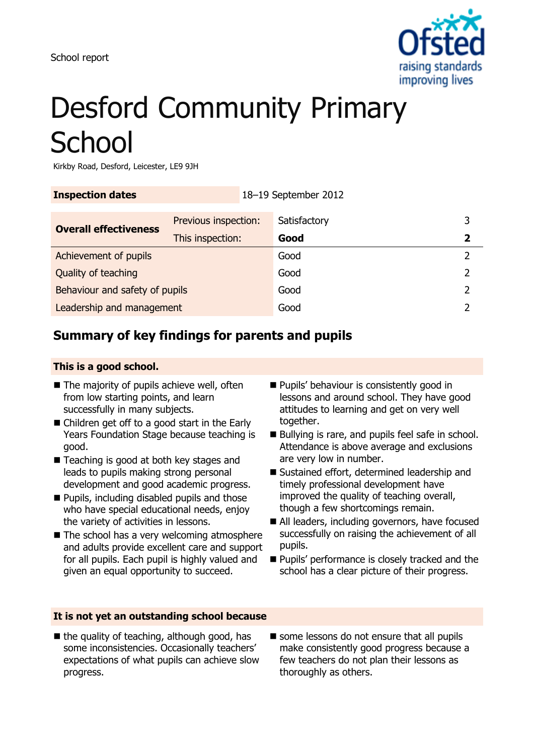

# Desford Community Primary **School**

Kirkby Road, Desford, Leicester, LE9 9JH

| <b>Inspection dates</b><br>18-19 September 2012 |                      |  |              |   |
|-------------------------------------------------|----------------------|--|--------------|---|
| <b>Overall effectiveness</b>                    | Previous inspection: |  | Satisfactory | 3 |
|                                                 | This inspection:     |  | Good         | 2 |
| Achievement of pupils                           |                      |  | Good         |   |
| Quality of teaching                             |                      |  | Good         |   |
| Behaviour and safety of pupils                  |                      |  | Good         |   |
| Leadership and management                       |                      |  | Good         |   |

## **Summary of key findings for parents and pupils**

#### **This is a good school.**

- $\blacksquare$  The majority of pupils achieve well, often from low starting points, and learn successfully in many subjects.
- Children get off to a good start in the Early Years Foundation Stage because teaching is good.
- Teaching is good at both key stages and leads to pupils making strong personal development and good academic progress.
- **Pupils, including disabled pupils and those** who have special educational needs, enjoy the variety of activities in lessons.
- The school has a very welcoming atmosphere and adults provide excellent care and support for all pupils. Each pupil is highly valued and given an equal opportunity to succeed.
- **Pupils' behaviour is consistently good in** lessons and around school. They have good attitudes to learning and get on very well together.
- Bullying is rare, and pupils feel safe in school. Attendance is above average and exclusions are very low in number.
- Sustained effort, determined leadership and timely professional development have improved the quality of teaching overall, though a few shortcomings remain.
- All leaders, including governors, have focused successfully on raising the achievement of all pupils.
- **Pupils' performance is closely tracked and the** school has a clear picture of their progress.

## **It is not yet an outstanding school because**

- $\blacksquare$  the quality of teaching, although good, has some inconsistencies. Occasionally teachers' expectations of what pupils can achieve slow progress.
- some lessons do not ensure that all pupils make consistently good progress because a few teachers do not plan their lessons as thoroughly as others.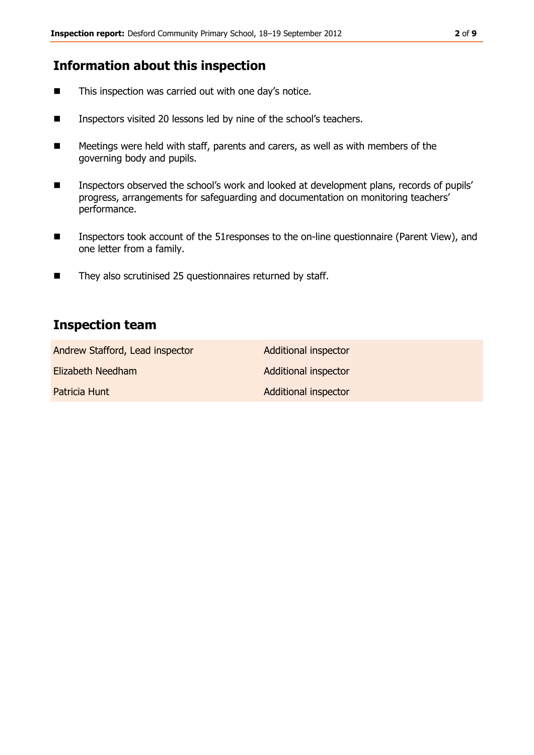## **Information about this inspection**

- This inspection was carried out with one day's notice.
- **Inspectors visited 20 lessons led by nine of the school's teachers.**
- Meetings were held with staff, parents and carers, as well as with members of the governing body and pupils.
- **Inspectors observed the school's work and looked at development plans, records of pupils'** progress, arrangements for safeguarding and documentation on monitoring teachers' performance.
- Inspectors took account of the 51 responses to the on-line questionnaire (Parent View), and one letter from a family.
- They also scrutinised 25 questionnaires returned by staff.

## **Inspection team**

| Andrew Stafford, Lead inspector | <b>Additional inspector</b> |
|---------------------------------|-----------------------------|
| Elizabeth Needham               | Additional inspector        |
| Patricia Hunt                   | Additional inspector        |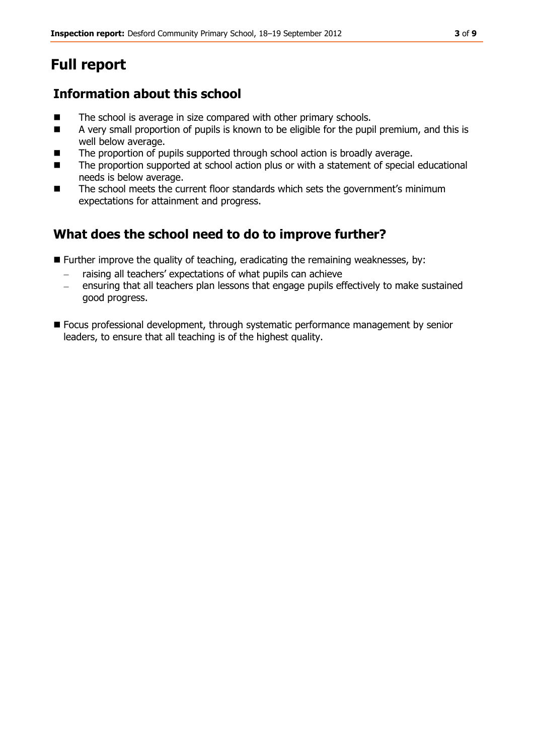# **Full report**

## **Information about this school**

- The school is average in size compared with other primary schools.
- A very small proportion of pupils is known to be eligible for the pupil premium, and this is well below average.
- The proportion of pupils supported through school action is broadly average.
- The proportion supported at school action plus or with a statement of special educational needs is below average.
- The school meets the current floor standards which sets the government's minimum expectations for attainment and progress.

# **What does the school need to do to improve further?**

- **Further improve the quality of teaching, eradicating the remaining weaknesses, by:** 
	- raising all teachers' expectations of what pupils can achieve
	- ensuring that all teachers plan lessons that engage pupils effectively to make sustained  $\equiv$ good progress.
- Focus professional development, through systematic performance management by senior leaders, to ensure that all teaching is of the highest quality.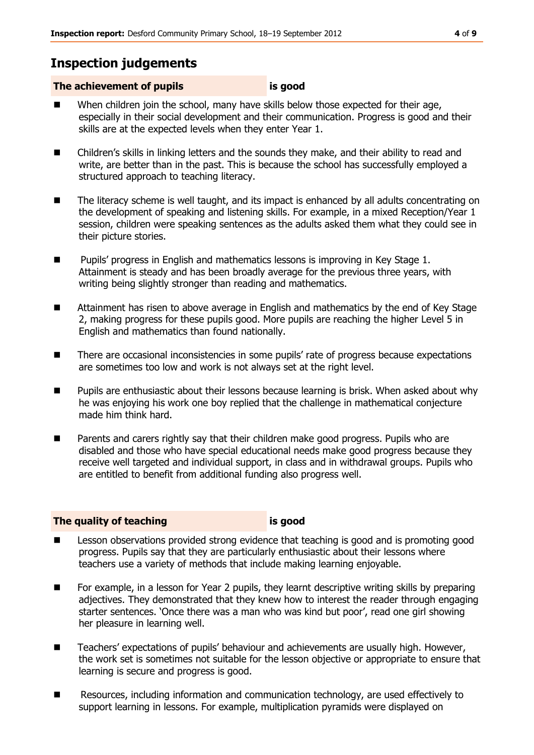## **Inspection judgements**

### **The achievement of pupils is good**

- When children join the school, many have skills below those expected for their age, especially in their social development and their communication. Progress is good and their skills are at the expected levels when they enter Year 1.
- Children's skills in linking letters and the sounds they make, and their ability to read and write, are better than in the past. This is because the school has successfully employed a structured approach to teaching literacy.
- The literacy scheme is well taught, and its impact is enhanced by all adults concentrating on the development of speaking and listening skills. For example, in a mixed Reception/Year 1 session, children were speaking sentences as the adults asked them what they could see in their picture stories.
- Pupils' progress in English and mathematics lessons is improving in Key Stage 1. Attainment is steady and has been broadly average for the previous three years, with writing being slightly stronger than reading and mathematics.
- Attainment has risen to above average in English and mathematics by the end of Key Stage 2, making progress for these pupils good. More pupils are reaching the higher Level 5 in English and mathematics than found nationally.
- There are occasional inconsistencies in some pupils' rate of progress because expectations are sometimes too low and work is not always set at the right level.
- Pupils are enthusiastic about their lessons because learning is brisk. When asked about why he was enjoying his work one boy replied that the challenge in mathematical conjecture made him think hard.
- Parents and carers rightly say that their children make good progress. Pupils who are disabled and those who have special educational needs make good progress because they receive well targeted and individual support, in class and in withdrawal groups. Pupils who are entitled to benefit from additional funding also progress well.

#### **The quality of teaching is good**

- Lesson observations provided strong evidence that teaching is good and is promoting good progress. Pupils say that they are particularly enthusiastic about their lessons where teachers use a variety of methods that include making learning enjoyable.
- For example, in a lesson for Year 2 pupils, they learnt descriptive writing skills by preparing adjectives. They demonstrated that they knew how to interest the reader through engaging starter sentences. 'Once there was a man who was kind but poor', read one girl showing her pleasure in learning well.
- Teachers' expectations of pupils' behaviour and achievements are usually high. However, the work set is sometimes not suitable for the lesson objective or appropriate to ensure that learning is secure and progress is good.
- Resources, including information and communication technology, are used effectively to support learning in lessons. For example, multiplication pyramids were displayed on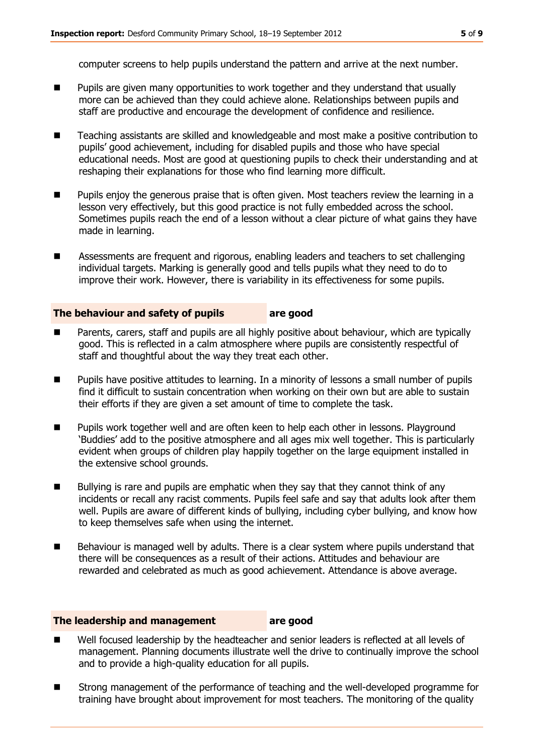computer screens to help pupils understand the pattern and arrive at the next number.

- Pupils are given many opportunities to work together and they understand that usually more can be achieved than they could achieve alone. Relationships between pupils and staff are productive and encourage the development of confidence and resilience.
- Teaching assistants are skilled and knowledgeable and most make a positive contribution to pupils' good achievement, including for disabled pupils and those who have special educational needs. Most are good at questioning pupils to check their understanding and at reshaping their explanations for those who find learning more difficult.
- **Pupilly envious the generous praise that is often given. Most teachers review the learning in a** lesson very effectively, but this good practice is not fully embedded across the school. Sometimes pupils reach the end of a lesson without a clear picture of what gains they have made in learning.
- Assessments are frequent and rigorous, enabling leaders and teachers to set challenging individual targets. Marking is generally good and tells pupils what they need to do to improve their work. However, there is variability in its effectiveness for some pupils.

#### **The behaviour and safety of pupils are good**

- Parents, carers, staff and pupils are all highly positive about behaviour, which are typically good. This is reflected in a calm atmosphere where pupils are consistently respectful of staff and thoughtful about the way they treat each other.
- Pupils have positive attitudes to learning. In a minority of lessons a small number of pupils find it difficult to sustain concentration when working on their own but are able to sustain their efforts if they are given a set amount of time to complete the task.
- **Pupilly work together well and are often keen to help each other in lessons. Playground** 'Buddies' add to the positive atmosphere and all ages mix well together. This is particularly evident when groups of children play happily together on the large equipment installed in the extensive school grounds.
- $\blacksquare$  Bullying is rare and pupils are emphatic when they say that they cannot think of any incidents or recall any racist comments. Pupils feel safe and say that adults look after them well. Pupils are aware of different kinds of bullying, including cyber bullying, and know how to keep themselves safe when using the internet.
- Behaviour is managed well by adults. There is a clear system where pupils understand that there will be consequences as a result of their actions. Attitudes and behaviour are rewarded and celebrated as much as good achievement. Attendance is above average.

#### **The leadership and management are good**

- Well focused leadership by the headteacher and senior leaders is reflected at all levels of management. Planning documents illustrate well the drive to continually improve the school and to provide a high-quality education for all pupils.
- Strong management of the performance of teaching and the well-developed programme for training have brought about improvement for most teachers. The monitoring of the quality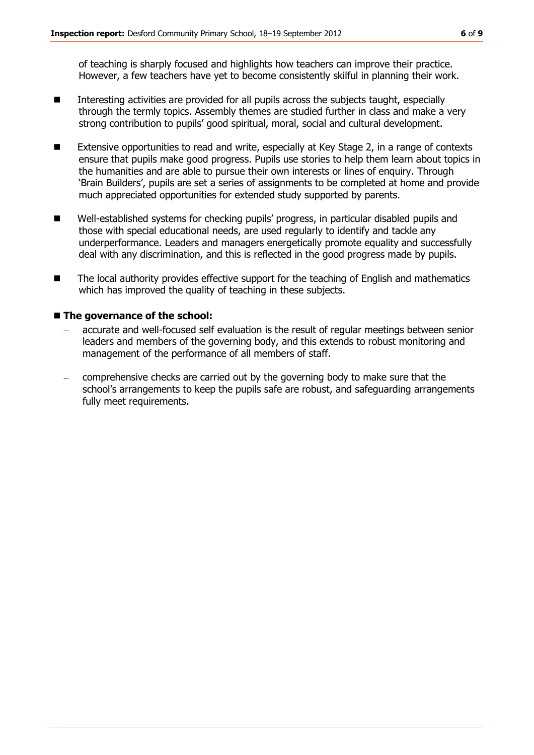of teaching is sharply focused and highlights how teachers can improve their practice. However, a few teachers have yet to become consistently skilful in planning their work.

- Interesting activities are provided for all pupils across the subjects taught, especially through the termly topics. Assembly themes are studied further in class and make a very strong contribution to pupils' good spiritual, moral, social and cultural development.
- Extensive opportunities to read and write, especially at Key Stage 2, in a range of contexts ensure that pupils make good progress. Pupils use stories to help them learn about topics in the humanities and are able to pursue their own interests or lines of enquiry. Through 'Brain Builders', pupils are set a series of assignments to be completed at home and provide much appreciated opportunities for extended study supported by parents.
- Well-established systems for checking pupils' progress, in particular disabled pupils and those with special educational needs, are used regularly to identify and tackle any underperformance. Leaders and managers energetically promote equality and successfully deal with any discrimination, and this is reflected in the good progress made by pupils.
- The local authority provides effective support for the teaching of English and mathematics which has improved the quality of teaching in these subjects.

#### ■ The governance of the school:

- accurate and well-focused self evaluation is the result of regular meetings between senior leaders and members of the governing body, and this extends to robust monitoring and management of the performance of all members of staff.
- comprehensive checks are carried out by the governing body to make sure that the school's arrangements to keep the pupils safe are robust, and safeguarding arrangements fully meet requirements.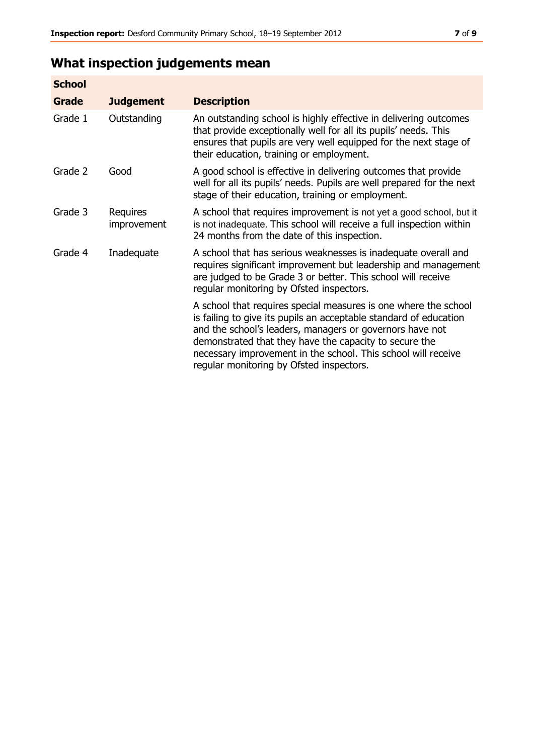# **What inspection judgements mean**

| <b>School</b> |                         |                                                                                                                                                                                                                                                                                                                                                                         |
|---------------|-------------------------|-------------------------------------------------------------------------------------------------------------------------------------------------------------------------------------------------------------------------------------------------------------------------------------------------------------------------------------------------------------------------|
| Grade         | <b>Judgement</b>        | <b>Description</b>                                                                                                                                                                                                                                                                                                                                                      |
| Grade 1       | Outstanding             | An outstanding school is highly effective in delivering outcomes<br>that provide exceptionally well for all its pupils' needs. This<br>ensures that pupils are very well equipped for the next stage of<br>their education, training or employment.                                                                                                                     |
| Grade 2       | Good                    | A good school is effective in delivering outcomes that provide<br>well for all its pupils' needs. Pupils are well prepared for the next<br>stage of their education, training or employment.                                                                                                                                                                            |
| Grade 3       | Requires<br>improvement | A school that requires improvement is not yet a good school, but it<br>is not inadequate. This school will receive a full inspection within<br>24 months from the date of this inspection.                                                                                                                                                                              |
| Grade 4       | Inadequate              | A school that has serious weaknesses is inadequate overall and<br>requires significant improvement but leadership and management<br>are judged to be Grade 3 or better. This school will receive<br>regular monitoring by Ofsted inspectors.                                                                                                                            |
|               |                         | A school that requires special measures is one where the school<br>is failing to give its pupils an acceptable standard of education<br>and the school's leaders, managers or governors have not<br>demonstrated that they have the capacity to secure the<br>necessary improvement in the school. This school will receive<br>regular monitoring by Ofsted inspectors. |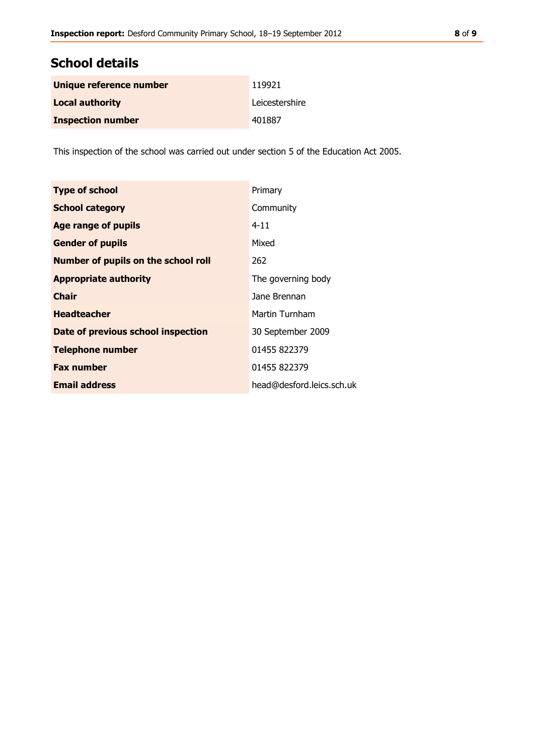## **School details**

| Unique reference number  | 119921         |
|--------------------------|----------------|
| <b>Local authority</b>   | Leicestershire |
| <b>Inspection number</b> | 401887         |

This inspection of the school was carried out under section 5 of the Education Act 2005.

| <b>Type of school</b>                      | Primary                   |
|--------------------------------------------|---------------------------|
| <b>School category</b>                     | Community                 |
| <b>Age range of pupils</b>                 | $4 - 11$                  |
| <b>Gender of pupils</b>                    | Mixed                     |
| <b>Number of pupils on the school roll</b> | 262                       |
| <b>Appropriate authority</b>               | The governing body        |
| <b>Chair</b>                               | Jane Brennan              |
| <b>Headteacher</b>                         | Martin Turnham            |
| Date of previous school inspection         | 30 September 2009         |
| <b>Telephone number</b>                    | 01455 822379              |
| <b>Fax number</b>                          | 01455 822379              |
| <b>Email address</b>                       | head@desford.leics.sch.uk |